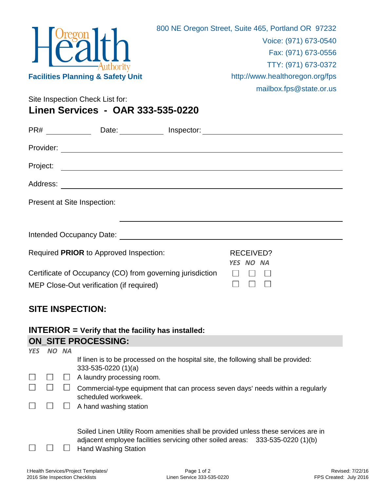|                                              | 800 NE Oregon Street, Suite 465, Portland OR 97232 |
|----------------------------------------------|----------------------------------------------------|
|                                              | Voice: (971) 673-0540                              |
| $H^{0}$                                      | Fax: (971) 673-0556                                |
|                                              | TTY: (971) 673-0372                                |
| <b>Facilities Planning &amp; Safety Unit</b> | http://www.healthoregon.org/fps                    |
|                                              | mailbox.fps@state.or.us                            |
| Site Inspection Check List for:              |                                                    |

**Linen Services - OAR 333-535-0220**

| PR#                                                                                                   | Date:                                                                                                                                                                                                                               | Inspector:             | <u> 1989 - Andrea Andrew Maria (h. 1989).</u> |  |
|-------------------------------------------------------------------------------------------------------|-------------------------------------------------------------------------------------------------------------------------------------------------------------------------------------------------------------------------------------|------------------------|-----------------------------------------------|--|
| Provider:                                                                                             |                                                                                                                                                                                                                                     |                        |                                               |  |
| Project:                                                                                              |                                                                                                                                                                                                                                     |                        |                                               |  |
| Address:                                                                                              |                                                                                                                                                                                                                                     |                        |                                               |  |
|                                                                                                       | Present at Site Inspection:                                                                                                                                                                                                         |                        |                                               |  |
|                                                                                                       |                                                                                                                                                                                                                                     |                        |                                               |  |
|                                                                                                       | Intended Occupancy Date: <b>All and Security Contracts</b> and the second second second second second second second second second second second second second second second second second second second second second second second |                        |                                               |  |
| Required PRIOR to Approved Inspection:                                                                |                                                                                                                                                                                                                                     | RECEIVED?<br>YES NO NA |                                               |  |
| Certificate of Occupancy (CO) from governing jurisdiction<br>MEP Close-Out verification (if required) |                                                                                                                                                                                                                                     |                        |                                               |  |

## **SITE INSPECTION:**

## **INTERIOR = Verify that the facility has installed: ON\_SITE PROCESSING:**

| <b>YES</b> | NO | <b>NA</b> |                                                                                                                                                                                                     |
|------------|----|-----------|-----------------------------------------------------------------------------------------------------------------------------------------------------------------------------------------------------|
|            |    |           | If linen is to be processed on the hospital site, the following shall be provided:<br>$333-535-0220(1)(a)$                                                                                          |
|            |    |           | A laundry processing room.                                                                                                                                                                          |
|            |    |           | Commercial-type equipment that can process seven days' needs within a regularly<br>scheduled workweek.                                                                                              |
|            |    |           | A hand washing station                                                                                                                                                                              |
|            |    |           | Soiled Linen Utility Room amenities shall be provided unless these services are in<br>adjacent employee facilities servicing other soiled areas: 333-535-0220 (1)(b)<br><b>Hand Washing Station</b> |